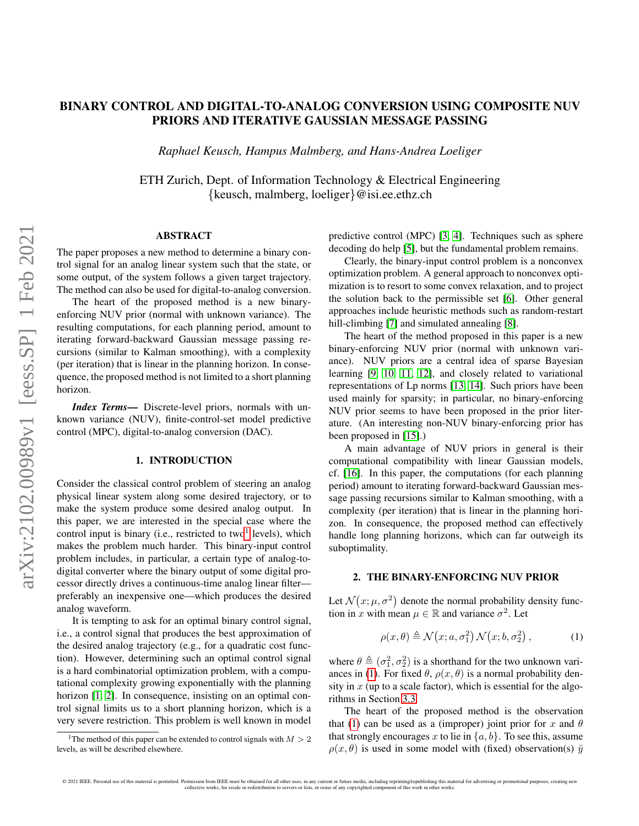# BINARY CONTROL AND DIGITAL-TO-ANALOG CONVERSION USING COMPOSITE NUV PRIORS AND ITERATIVE GAUSSIAN MESSAGE PASSING

*Raphael Keusch, Hampus Malmberg, and Hans-Andrea Loeliger*

ETH Zurich, Dept. of Information Technology & Electrical Engineering {keusch, malmberg, loeliger}@isi.ee.ethz.ch

# ABSTRACT

The paper proposes a new method to determine a binary control signal for an analog linear system such that the state, or some output, of the system follows a given target trajectory. The method can also be used for digital-to-analog conversion.

The heart of the proposed method is a new binaryenforcing NUV prior (normal with unknown variance). The resulting computations, for each planning period, amount to iterating forward-backward Gaussian message passing recursions (similar to Kalman smoothing), with a complexity (per iteration) that is linear in the planning horizon. In consequence, the proposed method is not limited to a short planning horizon.

*Index Terms*— Discrete-level priors, normals with unknown variance (NUV), finite-control-set model predictive control (MPC), digital-to-analog conversion (DAC).

# 1. INTRODUCTION

Consider the classical control problem of steering an analog physical linear system along some desired trajectory, or to make the system produce some desired analog output. In this paper, we are interested in the special case where the control input is binary (i.e., restricted to two<sup>[1](#page-0-0)</sup> levels), which makes the problem much harder. This binary-input control problem includes, in particular, a certain type of analog-todigital converter where the binary output of some digital processor directly drives a continuous-time analog linear filter preferably an inexpensive one—which produces the desired analog waveform.

It is tempting to ask for an optimal binary control signal, i.e., a control signal that produces the best approximation of the desired analog trajectory (e.g., for a quadratic cost function). However, determining such an optimal control signal is a hard combinatorial optimization problem, with a computational complexity growing exponentially with the planning horizon [\[1,](#page-4-0) [2\]](#page-4-1). In consequence, insisting on an optimal control signal limits us to a short planning horizon, which is a very severe restriction. This problem is well known in model

predictive control (MPC) [\[3,](#page-4-2) [4\]](#page-4-3). Techniques such as sphere decoding do help [\[5\]](#page-4-4), but the fundamental problem remains.

Clearly, the binary-input control problem is a nonconvex optimization problem. A general approach to nonconvex optimization is to resort to some convex relaxation, and to project the solution back to the permissible set [\[6\]](#page-4-5). Other general approaches include heuristic methods such as random-restart hill-climbing [\[7\]](#page-4-6) and simulated annealing [\[8\]](#page-4-7).

The heart of the method proposed in this paper is a new binary-enforcing NUV prior (normal with unknown variance). NUV priors are a central idea of sparse Bayesian learning [\[9,](#page-4-8) [10,](#page-4-9) [11,](#page-4-10) [12\]](#page-4-11), and closely related to variational representations of Lp norms [\[13,](#page-4-12) [14\]](#page-4-13). Such priors have been used mainly for sparsity; in particular, no binary-enforcing NUV prior seems to have been proposed in the prior literature. (An interesting non-NUV binary-enforcing prior has been proposed in [\[15\]](#page-4-14).)

A main advantage of NUV priors in general is their computational compatibility with linear Gaussian models, cf. [\[16\]](#page-4-15). In this paper, the computations (for each planning period) amount to iterating forward-backward Gaussian message passing recursions similar to Kalman smoothing, with a complexity (per iteration) that is linear in the planning horizon. In consequence, the proposed method can effectively handle long planning horizons, which can far outweigh its suboptimality.

### 2. THE BINARY-ENFORCING NUV PRIOR

Let  $\mathcal{N}(x; \mu, \sigma^2)$  denote the normal probability density function in x with mean  $\mu \in \mathbb{R}$  and variance  $\sigma^2$ . Let

<span id="page-0-1"></span>
$$
\rho(x,\theta) \triangleq \mathcal{N}(x;a,\sigma_1^2) \mathcal{N}(x;b,\sigma_2^2), \tag{1}
$$

where  $\theta \triangleq (\sigma_1^2, \sigma_2^2)$  is a shorthand for the two unknown vari-ances in [\(1\)](#page-0-1). For fixed  $\theta$ ,  $\rho(x, \theta)$  is a normal probability density in  $x$  (up to a scale factor), which is essential for the algorithms in Section [3.3.](#page-2-0)

The heart of the proposed method is the observation that [\(1\)](#page-0-1) can be used as a (improper) joint prior for x and  $\theta$ that strongly encourages x to lie in  $\{a, b\}$ . To see this, assume  $\rho(x, \theta)$  is used in some model with (fixed) observation(s)  $\breve{y}$ 

arXiv:2102.00989v1 [eess.SP] 1 Feb 2021

<span id="page-0-0"></span><sup>&</sup>lt;sup>1</sup>The method of this paper can be extended to control signals with  $M > 2$ levels, as will be described elsewhere.

<sup>© 2021</sup> IEEE. Personal use of this material is permitted. Permission from IEEE must be obtained for all other uses, in any current or future media, including reprinting/republishing this material for advertising or promotio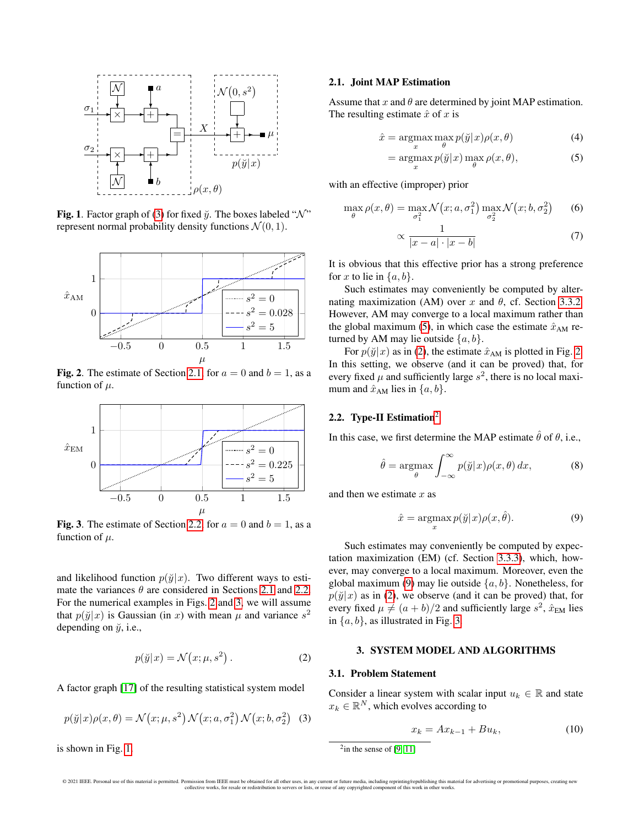

<span id="page-1-5"></span>**Fig. 1.** Factor graph of [\(3\)](#page-1-0) for fixed  $\ddot{y}$ . The boxes labeled " $\mathcal{N}$ " represent normal probability density functions  $\mathcal{N}(0, 1)$ .



<span id="page-1-3"></span>Fig. 2. The estimate of Section [2.1,](#page-1-1) for  $a = 0$  and  $b = 1$ , as a function of  $\mu$ .



<span id="page-1-4"></span>Fig. 3. The estimate of Section [2.2,](#page-1-2) for  $a = 0$  and  $b = 1$ , as a function of  $\mu$ .

and likelihood function  $p(\breve{y}|x)$ . Two different ways to estimate the variances  $\theta$  are considered in Sections [2.1](#page-1-1) and [2.2.](#page-1-2) For the numerical examples in Figs. [2](#page-1-3) and [3,](#page-1-4) we will assume that  $p(\check{y}|x)$  is Gaussian (in x) with mean  $\mu$  and variance  $s^2$ depending on  $\ddot{y}$ , i.e.,

<span id="page-1-7"></span>
$$
p(\breve{y}|x) = \mathcal{N}(x; \mu, s^2).
$$
 (2)

A factor graph [\[17\]](#page-4-16) of the resulting statistical system model

<span id="page-1-0"></span>
$$
p(\breve{y}|x)\rho(x,\theta) = \mathcal{N}(x;\mu,s^2)\,\mathcal{N}(x;a,\sigma_1^2)\,\mathcal{N}(x;b,\sigma_2^2)
$$
 (3)

is shown in Fig. [1.](#page-1-5)

# <span id="page-1-1"></span>2.1. Joint MAP Estimation

Assume that  $x$  and  $\theta$  are determined by joint MAP estimation. The resulting estimate  $\hat{x}$  of x is

$$
\hat{x} = \underset{x}{\operatorname{argmax}} \max_{\theta} p(\check{y}|x)\rho(x,\theta) \tag{4}
$$

<span id="page-1-6"></span>
$$
= \operatorname*{argmax}_{x} p(\breve{y}|x) \max_{\theta} \rho(x,\theta), \tag{5}
$$

with an effective (improper) prior

$$
\max_{\theta} \rho(x,\theta) = \max_{\sigma_1^2} \mathcal{N}\big(x;a,\sigma_1^2\big) \max_{\sigma_2^2} \mathcal{N}\big(x;b,\sigma_2^2\big) \qquad (6)
$$

$$
\propto \frac{1}{|x-a|\cdot|x-b|} \tag{7}
$$

It is obvious that this effective prior has a strong preference for x to lie in  $\{a, b\}$ .

Such estimates may conveniently be computed by alternating maximization (AM) over x and  $\theta$ , cf. Section [3.3.2.](#page-2-1) However, AM may converge to a local maximum rather than the global maximum [\(5\)](#page-1-6), in which case the estimate  $\hat{x}_{AM}$  returned by AM may lie outside  $\{a, b\}$ .

For  $p(\tilde{y}|x)$  as in [\(2\)](#page-1-7), the estimate  $\hat{x}_{AM}$  is plotted in Fig. [2.](#page-1-3) In this setting, we observe (and it can be proved) that, for every fixed  $\mu$  and sufficiently large  $s^2$ , there is no local maximum and  $\hat{x}_{AM}$  lies in  $\{a, b\}$ .

# <span id="page-1-2"></span>[2](#page-1-8).2. Type-II Estimation<sup>2</sup>

In this case, we first determine the MAP estimate  $\hat{\theta}$  of  $\theta$ , i.e.,

$$
\hat{\theta} = \underset{\theta}{\operatorname{argmax}} \int_{-\infty}^{\infty} p(\check{y}|x) \rho(x,\theta) \, dx,\tag{8}
$$

and then we estimate  $x$  as

<span id="page-1-9"></span>
$$
\hat{x} = \underset{x}{\operatorname{argmax}} p(\check{y}|x)\rho(x,\hat{\theta}).\tag{9}
$$

Such estimates may conveniently be computed by expectation maximization (EM) (cf. Section [3.3.3\)](#page-2-2), which, however, may converge to a local maximum. Moreover, even the global maximum [\(9\)](#page-1-9) may lie outside  $\{a, b\}$ . Nonetheless, for  $p(\tilde{y}|x)$  as in [\(2\)](#page-1-7), we observe (and it can be proved) that, for every fixed  $\mu \neq (a + b)/2$  and sufficiently large  $s^2$ ,  $\hat{x}_{EM}$  lies in  $\{a, b\}$ , as illustrated in Fig. [3.](#page-1-4)

# 3. SYSTEM MODEL AND ALGORITHMS

#### <span id="page-1-10"></span>3.1. Problem Statement

Consider a linear system with scalar input  $u_k \in \mathbb{R}$  and state  $x_k \in \mathbb{R}^N$ , which evolves according to

<span id="page-1-11"></span>
$$
x_k = Ax_{k-1} + Bu_k, \tag{10}
$$

<span id="page-1-8"></span> $2$ in the sense of [\[9,](#page-4-8) [11\]](#page-4-10)

<sup>© 2021</sup> IEEE. Personal use of this material is permitted. Permission from IEEE must be obtained for all other uses, in any current or future media, including reprinting/republishing this material for advertising or promotio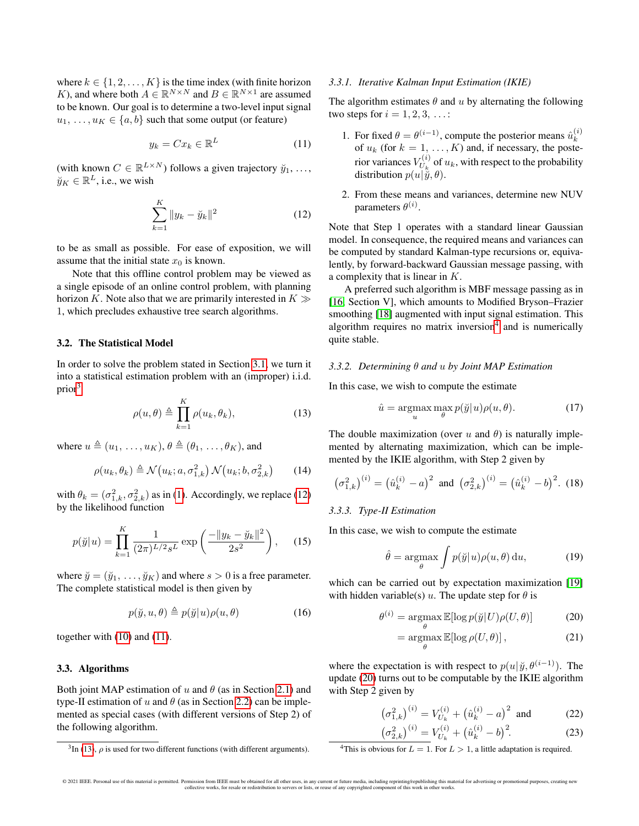where  $k \in \{1, 2, ..., K\}$  is the time index (with finite horizon K), and where both  $A \in \mathbb{R}^{N \times N}$  and  $B \in \mathbb{R}^{N \times 1}$  are assumed to be known. Our goal is to determine a two-level input signal  $u_1, \ldots, u_K \in \{a, b\}$  such that some output (or feature)

<span id="page-2-5"></span>
$$
y_k = Cx_k \in \mathbb{R}^L \tag{11}
$$

(with known  $C \in \mathbb{R}^{L \times N}$ ) follows a given trajectory  $\check{y}_1, \ldots,$  $\breve{y}_K \in \mathbb{R}^L$ , i.e., we wish

<span id="page-2-4"></span>
$$
\sum_{k=1}^{K} \|y_k - \breve{y}_k\|^2
$$
 (12)

to be as small as possible. For ease of exposition, we will assume that the initial state  $x_0$  is known.

Note that this offline control problem may be viewed as a single episode of an online control problem, with planning horizon K. Note also that we are primarily interested in  $K \gg$ 1, which precludes exhaustive tree search algorithms.

# 3.2. The Statistical Model

In order to solve the problem stated in Section [3.1,](#page-1-10) we turn it into a statistical estimation problem with an (improper) i.i.d. prior[3](#page-2-3)

<span id="page-2-6"></span>
$$
\rho(u,\theta) \triangleq \prod_{k=1}^{K} \rho(u_k,\theta_k), \qquad (13)
$$

where  $u \triangleq (u_1, \ldots, u_K)$ ,  $\theta \triangleq (\theta_1, \ldots, \theta_K)$ , and

$$
\rho(u_k, \theta_k) \triangleq \mathcal{N}(u_k; a, \sigma_{1,k}^2) \mathcal{N}(u_k; b, \sigma_{2,k}^2)
$$
 (14)

with  $\theta_k = (\sigma_{1,k}^2, \sigma_{2,k}^2)$  as in [\(1\)](#page-0-1). Accordingly, we replace [\(12\)](#page-2-4) by the likelihood function

$$
p(\breve{y}|u) = \prod_{k=1}^{K} \frac{1}{(2\pi)^{L/2} s^L} \exp\left(\frac{-\|y_k - \breve{y}_k\|^2}{2s^2}\right), \quad (15)
$$

where  $\ddot{y} = (\ddot{y}_1, \ldots, \ddot{y}_K)$  and where  $s > 0$  is a free parameter. The complete statistical model is then given by

$$
p(\breve{y}, u, \theta) \triangleq p(\breve{y}|u)\rho(u, \theta)
$$
\n(16)

together with [\(10\)](#page-1-11) and [\(11\)](#page-2-5).

#### <span id="page-2-0"></span>3.3. Algorithms

Both joint MAP estimation of u and  $\theta$  (as in Section [2.1\)](#page-1-1) and type-II estimation of u and  $\theta$  (as in Section [2.2\)](#page-1-2) can be implemented as special cases (with different versions of Step 2) of the following algorithm.

#### *3.3.1. Iterative Kalman Input Estimation (IKIE)*

The algorithm estimates  $\theta$  and u by alternating the following two steps for  $i = 1, 2, 3, \ldots$ :

- 1. For fixed  $\theta = \theta^{(i-1)}$ , compute the posterior means  $\hat{u}_k^{(i)}$  of  $u_k$  (for  $k = 1, ..., K$ ) and, if necessary, the posterior variances  $V_{U_h}^{(i)}$  $U_k^{(i)}$  of  $u_k$ , with respect to the probability distribution  $p(u|\tilde{\tilde{y}}, \theta)$ .
- 2. From these means and variances, determine new NUV parameters  $\theta^{(i)}$ .

Note that Step 1 operates with a standard linear Gaussian model. In consequence, the required means and variances can be computed by standard Kalman-type recursions or, equivalently, by forward-backward Gaussian message passing, with a complexity that is linear in K.

A preferred such algorithm is MBF message passing as in [\[16,](#page-4-15) Section V], which amounts to Modified Bryson–Frazier smoothing [\[18\]](#page-4-17) augmented with input signal estimation. This algorithm requires no matrix inversion<sup>[4](#page-2-7)</sup> and is numerically quite stable.

# <span id="page-2-1"></span>*3.3.2. Determining* θ *and* u *by Joint MAP Estimation*

In this case, we wish to compute the estimate

<span id="page-2-9"></span>
$$
\hat{u} = \underset{u}{\operatorname{argmax}} \max_{\theta} p(\check{y}|u)\rho(u,\theta). \tag{17}
$$

The double maximization (over u and  $\theta$ ) is naturally implemented by alternating maximization, which can be implemented by the IKIE algorithm, with Step 2 given by

$$
\left(\sigma_{1,k}^2\right)^{(i)} = \left(\hat{u}_k^{(i)} - a\right)^2 \text{ and } \left(\sigma_{2,k}^2\right)^{(i)} = \left(\hat{u}_k^{(i)} - b\right)^2. (18)
$$

### <span id="page-2-2"></span>*3.3.3. Type-II Estimation*

θ

 $\left($ 

In this case, we wish to compute the estimate

<span id="page-2-10"></span>
$$
\hat{\theta} = \underset{\theta}{\operatorname{argmax}} \int p(\check{y}|u)\rho(u,\theta) \, \mathrm{d}u,\tag{19}
$$

which can be carried out by expectation maximization [\[19\]](#page-4-18) with hidden variable(s) u. The update step for  $\theta$  is

$$
^{(i)} = \underset{\theta}{\operatorname{argmax}} \mathbb{E}[\log p(\breve{y}|U)\rho(U,\theta)] \tag{20}
$$

<span id="page-2-8"></span>
$$
= \underset{\theta}{\operatorname{argmax}} \mathbb{E}[\log \rho(U, \theta)], \qquad (21)
$$

where the expectation is with respect to  $p(u|\tilde{y}, \theta^{(i-1)})$ . The update [\(20\)](#page-2-8) turns out to be computable by the IKIE algorithm with Step 2 given by

$$
\left(\sigma_{1,k}^2\right)^{(i)} = V_{U_k}^{(i)} + \left(\hat{u}_k^{(i)} - a\right)^2 \text{ and } (22)
$$

$$
\sigma_{2,k}^2 \big)^{(i)} = V_{U_k}^{(i)} + \big(\hat{u}_k^{(i)} - b\big)^2. \tag{23}
$$

<span id="page-2-7"></span><sup>4</sup>This is obvious for  $L = 1$ . For  $L > 1$ , a little adaptation is required.

<span id="page-2-3"></span> ${}^{3}$ In [\(13\)](#page-2-6),  $\rho$  is used for two different functions (with different arguments).

<sup>© 2021</sup> IEEE. Personal use of this material is permitted. Permission from IEEE must be obtained for all other uses, in any current or future media, including reprinting/republishing this material for advertising or promotio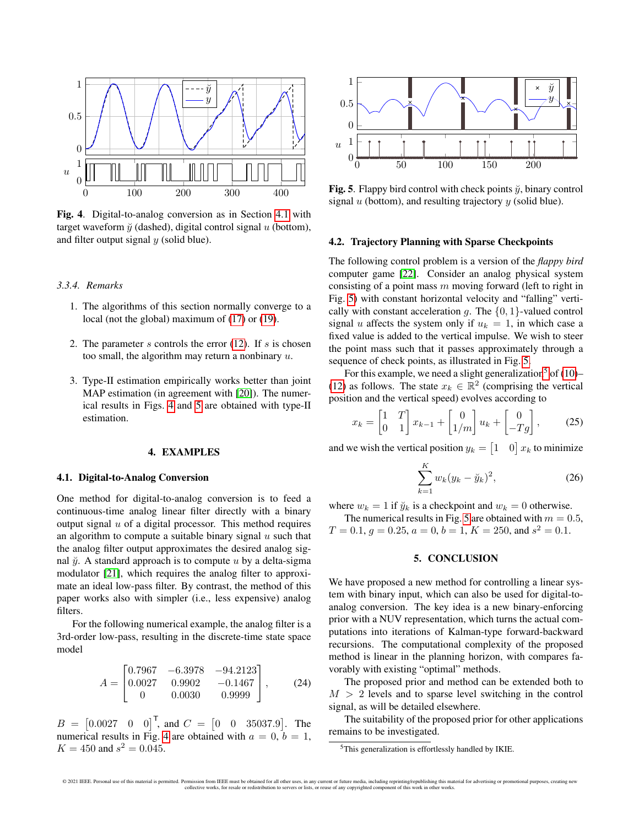

<span id="page-3-1"></span>Fig. 4. Digital-to-analog conversion as in Section [4.1](#page-3-0) with target waveform  $\ddot{y}$  (dashed), digital control signal  $u$  (bottom), and filter output signal  $y$  (solid blue).

### *3.3.4. Remarks*

- 1. The algorithms of this section normally converge to a local (not the global) maximum of [\(17\)](#page-2-9) or [\(19\)](#page-2-10).
- 2. The parameter s controls the error  $(12)$ . If s is chosen too small, the algorithm may return a nonbinary  $u$ .
- 3. Type-II estimation empirically works better than joint MAP estimation (in agreement with [\[20\]](#page-4-19)). The numerical results in Figs. [4](#page-3-1) and [5](#page-3-2) are obtained with type-II estimation.

# 4. EXAMPLES

# <span id="page-3-0"></span>4.1. Digital-to-Analog Conversion

One method for digital-to-analog conversion is to feed a continuous-time analog linear filter directly with a binary output signal  $u$  of a digital processor. This method requires an algorithm to compute a suitable binary signal  $u$  such that the analog filter output approximates the desired analog signal  $\check{y}$ . A standard approach is to compute u by a delta-sigma modulator [\[21\]](#page-4-20), which requires the analog filter to approximate an ideal low-pass filter. By contrast, the method of this paper works also with simpler (i.e., less expensive) analog filters.

For the following numerical example, the analog filter is a 3rd-order low-pass, resulting in the discrete-time state space model

$$
A = \begin{bmatrix} 0.7967 & -6.3978 & -94.2123 \\ 0.0027 & 0.9902 & -0.1467 \\ 0 & 0.0030 & 0.9999 \end{bmatrix},
$$
 (24)

 $B = \begin{bmatrix} 0.0027 & 0 & 0 \end{bmatrix}^T$ , and  $C = \begin{bmatrix} 0 & 0 & 35037.9 \end{bmatrix}$ . The numerical results in Fig. [4](#page-3-1) are obtained with  $a = 0, b = 1$ ,  $K = 450$  and  $s^2 = 0.045$ .



<span id="page-3-2"></span>Fig. 5. Flappy bird control with check points  $\ddot{y}$ , binary control signal  $u$  (bottom), and resulting trajectory  $y$  (solid blue).

# 4.2. Trajectory Planning with Sparse Checkpoints

The following control problem is a version of the *flappy bird* computer game [\[22\]](#page-4-21). Consider an analog physical system consisting of a point mass  $m$  moving forward (left to right in Fig. [5\)](#page-3-2) with constant horizontal velocity and "falling" vertically with constant acceleration q. The  $\{0, 1\}$ -valued control signal u affects the system only if  $u_k = 1$ , in which case a fixed value is added to the vertical impulse. We wish to steer the point mass such that it passes approximately through a sequence of check points, as illustrated in Fig. [5.](#page-3-2)

For this example, we need a slight generalization<sup>[5](#page-3-3)</sup> of  $(10)$ – [\(12\)](#page-2-4) as follows. The state  $x_k \in \mathbb{R}^2$  (comprising the vertical position and the vertical speed) evolves according to

$$
x_k = \begin{bmatrix} 1 & T \\ 0 & 1 \end{bmatrix} x_{k-1} + \begin{bmatrix} 0 \\ 1/m \end{bmatrix} u_k + \begin{bmatrix} 0 \\ -Tg \end{bmatrix},
$$
 (25)

and we wish the vertical position  $y_k = \begin{bmatrix} 1 & 0 \end{bmatrix} x_k$  to minimize

$$
\sum_{k=1}^{K} w_k (y_k - \breve{y}_k)^2, \tag{26}
$$

where  $w_k = 1$  if  $\ddot{y}_k$  is a checkpoint and  $w_k = 0$  otherwise.

The numerical results in Fig. [5](#page-3-2) are obtained with  $m = 0.5$ ,  $T = 0.1, g = 0.25, a = 0, b = 1, K = 250, \text{ and } s^2 = 0.1.$ 

### 5. CONCLUSION

We have proposed a new method for controlling a linear system with binary input, which can also be used for digital-toanalog conversion. The key idea is a new binary-enforcing prior with a NUV representation, which turns the actual computations into iterations of Kalman-type forward-backward recursions. The computational complexity of the proposed method is linear in the planning horizon, with compares favorably with existing "optimal" methods.

The proposed prior and method can be extended both to  $M > 2$  levels and to sparse level switching in the control signal, as will be detailed elsewhere.

The suitability of the proposed prior for other applications remains to be investigated.

<span id="page-3-3"></span><sup>&</sup>lt;sup>5</sup>This generalization is effortlessly handled by IKIE.

<sup>© 2021</sup> IEEE. Personal use of this material is permitted. Permission from IEEE must be obtained for all other uses, in any current or future media, including reprinting/republishing this material for advertising or promotio